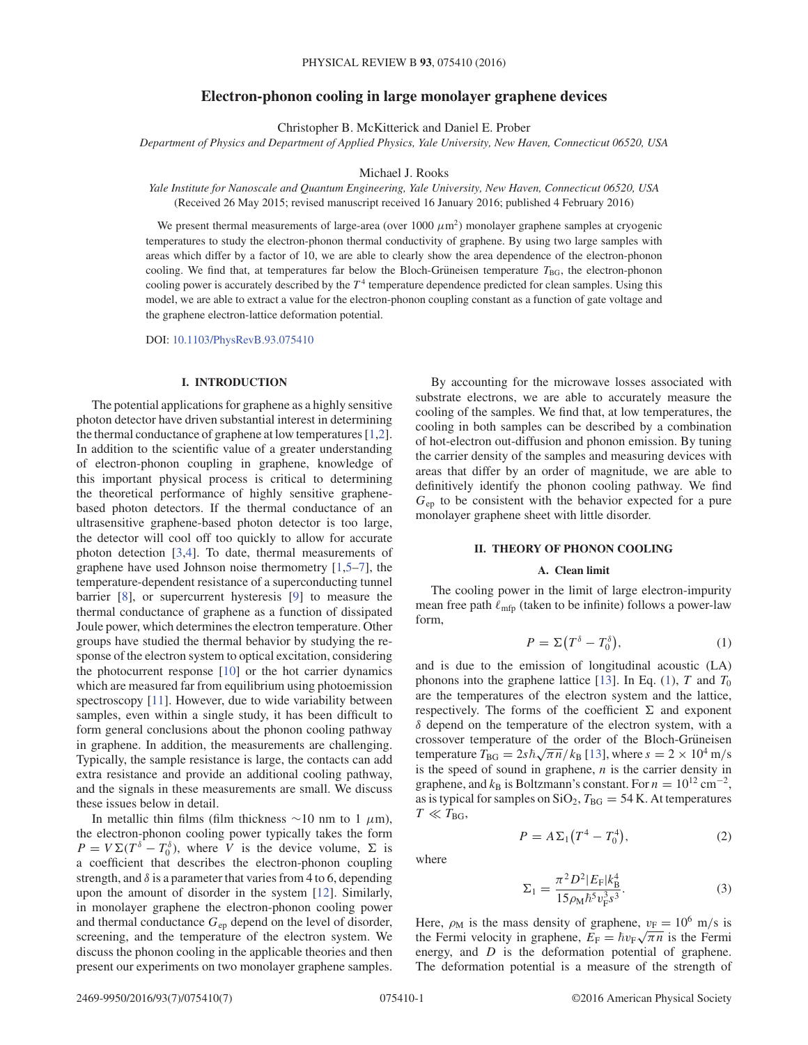## **Electron-phonon cooling in large monolayer graphene devices**

Christopher B. McKitterick and Daniel E. Prober

*Department of Physics and Department of Applied Physics, Yale University, New Haven, Connecticut 06520, USA*

### Michael J. Rooks

*Yale Institute for Nanoscale and Quantum Engineering, Yale University, New Haven, Connecticut 06520, USA* (Received 26 May 2015; revised manuscript received 16 January 2016; published 4 February 2016)

We present thermal measurements of large-area (over  $1000 \mu m^2$ ) monolayer graphene samples at cryogenic temperatures to study the electron-phonon thermal conductivity of graphene. By using two large samples with areas which differ by a factor of 10, we are able to clearly show the area dependence of the electron-phonon cooling. We find that, at temperatures far below the Bloch-Grüneisen temperature  $T_{\text{BG}}$ , the electron-phonon cooling power is accurately described by the  $T<sup>4</sup>$  temperature dependence predicted for clean samples. Using this model, we are able to extract a value for the electron-phonon coupling constant as a function of gate voltage and the graphene electron-lattice deformation potential.

DOI: 10.1103/PhysRevB.93.075410

# **I. INTRODUCTION**

The potential applications for graphene as a highly sensitive photon detector have driven substantial interest in determining the thermal conductance of graphene at low temperatures [1,2]. In addition to the scientific value of a greater understanding of electron-phonon coupling in graphene, knowledge of this important physical process is critical to determining the theoretical performance of highly sensitive graphenebased photon detectors. If the thermal conductance of an ultrasensitive graphene-based photon detector is too large, the detector will cool off too quickly to allow for accurate photon detection [3,4]. To date, thermal measurements of graphene have used Johnson noise thermometry [1,5–7], the temperature-dependent resistance of a superconducting tunnel barrier [8], or supercurrent hysteresis [9] to measure the thermal conductance of graphene as a function of dissipated Joule power, which determines the electron temperature. Other groups have studied the thermal behavior by studying the response of the electron system to optical excitation, considering the photocurrent response [10] or the hot carrier dynamics which are measured far from equilibrium using photoemission spectroscopy [11]. However, due to wide variability between samples, even within a single study, it has been difficult to form general conclusions about the phonon cooling pathway in graphene. In addition, the measurements are challenging. Typically, the sample resistance is large, the contacts can add extra resistance and provide an additional cooling pathway, and the signals in these measurements are small. We discuss these issues below in detail.

In metallic thin films (film thickness  $\sim$ 10 nm to 1  $\mu$ m), the electron-phonon cooling power typically takes the form  $P = V \Sigma (T^{\delta} - T_0^{\delta})$ , where V is the device volume,  $\Sigma$  is a coefficient that describes the electron-phonon coupling strength, and  $\delta$  is a parameter that varies from 4 to 6, depending upon the amount of disorder in the system [12]. Similarly, in monolayer graphene the electron-phonon cooling power and thermal conductance  $G_{ep}$  depend on the level of disorder, screening, and the temperature of the electron system. We discuss the phonon cooling in the applicable theories and then present our experiments on two monolayer graphene samples.

By accounting for the microwave losses associated with substrate electrons, we are able to accurately measure the cooling of the samples. We find that, at low temperatures, the cooling in both samples can be described by a combination of hot-electron out-diffusion and phonon emission. By tuning the carrier density of the samples and measuring devices with areas that differ by an order of magnitude, we are able to definitively identify the phonon cooling pathway. We find  $G<sub>ep</sub>$  to be consistent with the behavior expected for a pure monolayer graphene sheet with little disorder.

### **II. THEORY OF PHONON COOLING**

# **A. Clean limit**

The cooling power in the limit of large electron-impurity mean free path  $\ell_{\rm mfp}$  (taken to be infinite) follows a power-law form,

$$
P = \Sigma (T^{\delta} - T_0^{\delta}), \qquad (1)
$$

and is due to the emission of longitudinal acoustic (LA) phonons into the graphene lattice [13]. In Eq. (1), T and  $T_0$ are the temperatures of the electron system and the lattice, respectively. The forms of the coefficient  $\Sigma$  and exponent  $\delta$  depend on the temperature of the electron system, with a crossover temperature of the order of the Bloch-Grüneisen temperature  $T_{\text{BG}} = 2s\hbar\sqrt{\pi n}/k_{\text{B}}$  [13], where  $s = 2 \times 10^4$  m/s is the speed of sound in graphene,  $n$  is the carrier density in graphene, and  $k_B$  is Boltzmann's constant. For  $n = 10^{12}$  cm<sup>-2</sup>, as is typical for samples on  $SiO_2$ ,  $T_{BG} = 54$  K. At temperatures  $T \ll T_{\text{BG}}$ 

$$
P = A\Sigma_1 (T^4 - T_0^4), \tag{2}
$$

where

$$
\Sigma_1 = \frac{\pi^2 D^2 |E_{\rm F}| k_{\rm B}^4}{15 \rho_{\rm M} \hbar^5 v_{\rm F}^3 s^3}.
$$
 (3)

Here,  $\rho_M$  is the mass density of graphene,  $v_F = 10^6$  m/s is the Fermi velocity in graphene,  $E_F = \hbar v_F \sqrt{\pi n}$  is the Fermi energy, and *D* is the deformation potential of graphene. The deformation potential is a measure of the strength of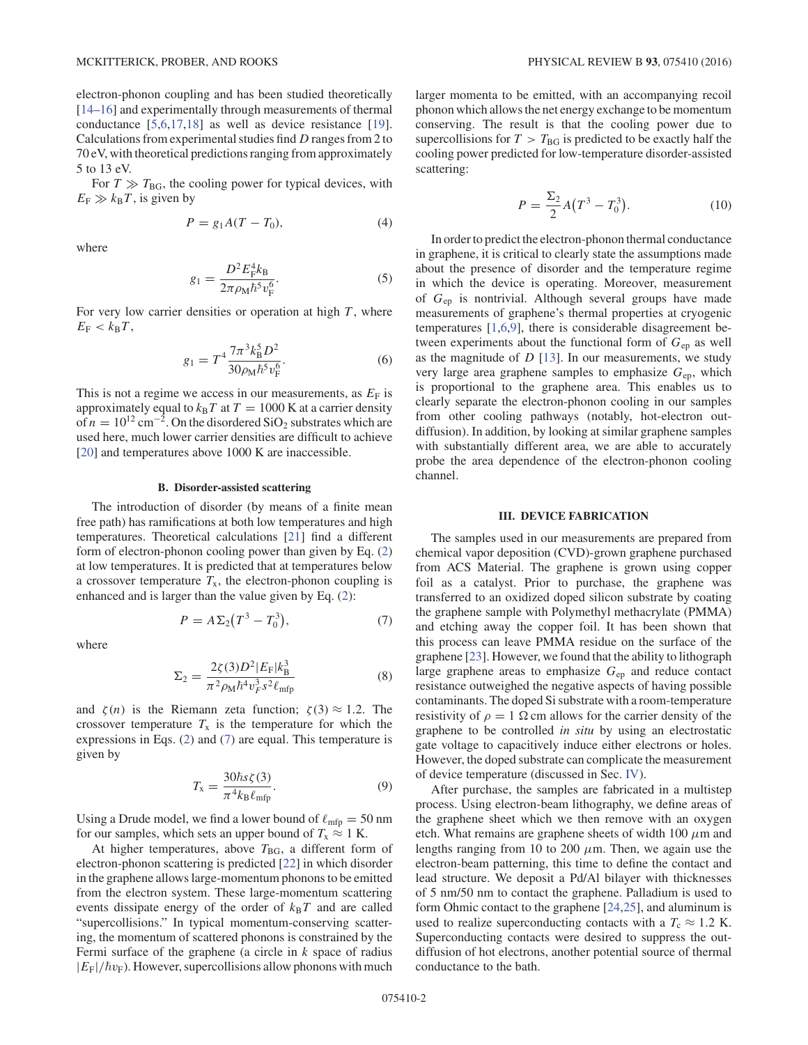electron-phonon coupling and has been studied theoretically [14–16] and experimentally through measurements of thermal conductance [5,6,17,18] as well as device resistance [19]. Calculations from experimental studies find D ranges from 2 to 70 eV, with theoretical predictions ranging from approximately 5 to 13 eV.

For  $T \gg T_{\text{BG}}$ , the cooling power for typical devices, with  $E_F \gg k_B T$ , is given by

$$
P = g_1 A(T - T_0),\tag{4}
$$

where

$$
g_1 = \frac{D^2 E_{\rm F}^4 k_{\rm B}}{2\pi \rho_{\rm M} \hbar^5 v_{\rm F}^6}.
$$
 (5)

For very low carrier densities or operation at high  $T$ , where  $E_F < k_B T$ ,

$$
g_1 = T^4 \frac{7\pi^3 k_B^5 D^2}{30 \rho_M \hbar^5 v_F^6}.
$$
 (6)

This is not a regime we access in our measurements, as  $E_F$  is approximately equal to  $k_BT$  at  $T = 1000$  K at a carrier density of  $n = 10^{12}$  cm<sup>-2</sup>. On the disordered SiO<sub>2</sub> substrates which are used here, much lower carrier densities are difficult to achieve [20] and temperatures above 1000 K are inaccessible.

#### **B. Disorder-assisted scattering**

The introduction of disorder (by means of a finite mean free path) has ramifications at both low temperatures and high temperatures. Theoretical calculations [21] find a different form of electron-phonon cooling power than given by Eq. (2) at low temperatures. It is predicted that at temperatures below a crossover temperature  $T_x$ , the electron-phonon coupling is enhanced and is larger than the value given by Eq. (2):

$$
P = A\Sigma_2(T^3 - T_0^3),\tag{7}
$$

where

$$
\Sigma_2 = \frac{2\zeta(3)D^2|E_{\rm F}|k_{\rm B}^3}{\pi^2 \rho_{\rm M} \hbar^4 v_F^3 s^2 \ell_{\rm mfp}}\tag{8}
$$

and  $\zeta(n)$  is the Riemann zeta function;  $\zeta(3) \approx 1.2$ . The crossover temperature  $T_x$  is the temperature for which the expressions in Eqs. (2) and (7) are equal. This temperature is given by

$$
T_{\rm x} = \frac{30\hbar s \zeta(3)}{\pi^4 k_{\rm B} \ell_{\rm mfp}}.\tag{9}
$$

Using a Drude model, we find a lower bound of  $\ell_{\text{mfp}} = 50 \text{ nm}$ for our samples, which sets an upper bound of  $T_x \approx 1$  K.

At higher temperatures, above  $T_{BG}$ , a different form of electron-phonon scattering is predicted [22] in which disorder in the graphene allows large-momentum phonons to be emitted from the electron system. These large-momentum scattering events dissipate energy of the order of  $k_BT$  and are called "supercollisions." In typical momentum-conserving scattering, the momentum of scattered phonons is constrained by the Fermi surface of the graphene (a circle in  $k$  space of radius  $|E_{\rm F}|/\hbar v_{\rm F}$ ). However, supercollisions allow phonons with much

larger momenta to be emitted, with an accompanying recoil phonon which allows the net energy exchange to be momentum conserving. The result is that the cooling power due to supercollisions for  $T > T_{BG}$  is predicted to be exactly half the cooling power predicted for low-temperature disorder-assisted scattering:

$$
P = \frac{\Sigma_2}{2} A (T^3 - T_0^3).
$$
 (10)

In order to predict the electron-phonon thermal conductance in graphene, it is critical to clearly state the assumptions made about the presence of disorder and the temperature regime in which the device is operating. Moreover, measurement of  $G_{ep}$  is nontrivial. Although several groups have made measurements of graphene's thermal properties at cryogenic temperatures [1,6,9], there is considerable disagreement between experiments about the functional form of  $G_{en}$  as well as the magnitude of  $D$  [13]. In our measurements, we study very large area graphene samples to emphasize  $G_{en}$ , which is proportional to the graphene area. This enables us to clearly separate the electron-phonon cooling in our samples from other cooling pathways (notably, hot-electron outdiffusion). In addition, by looking at similar graphene samples with substantially different area, we are able to accurately probe the area dependence of the electron-phonon cooling channel.

## **III. DEVICE FABRICATION**

The samples used in our measurements are prepared from chemical vapor deposition (CVD)-grown graphene purchased from ACS Material. The graphene is grown using copper foil as a catalyst. Prior to purchase, the graphene was transferred to an oxidized doped silicon substrate by coating the graphene sample with Polymethyl methacrylate (PMMA) and etching away the copper foil. It has been shown that this process can leave PMMA residue on the surface of the graphene [23]. However, we found that the ability to lithograph large graphene areas to emphasize  $G_{ep}$  and reduce contact resistance outweighed the negative aspects of having possible contaminants. The doped Si substrate with a room-temperature resistivity of  $\rho = 1$  Ω cm allows for the carrier density of the graphene to be controlled *in situ* by using an electrostatic gate voltage to capacitively induce either electrons or holes. However, the doped substrate can complicate the measurement of device temperature (discussed in Sec. IV).

After purchase, the samples are fabricated in a multistep process. Using electron-beam lithography, we define areas of the graphene sheet which we then remove with an oxygen etch. What remains are graphene sheets of width  $100 \mu$ m and lengths ranging from 10 to 200  $\mu$ m. Then, we again use the electron-beam patterning, this time to define the contact and lead structure. We deposit a Pd/Al bilayer with thicknesses of 5 nm/50 nm to contact the graphene. Palladium is used to form Ohmic contact to the graphene [24,25], and aluminum is used to realize superconducting contacts with a  $T_c \approx 1.2$  K. Superconducting contacts were desired to suppress the outdiffusion of hot electrons, another potential source of thermal conductance to the bath.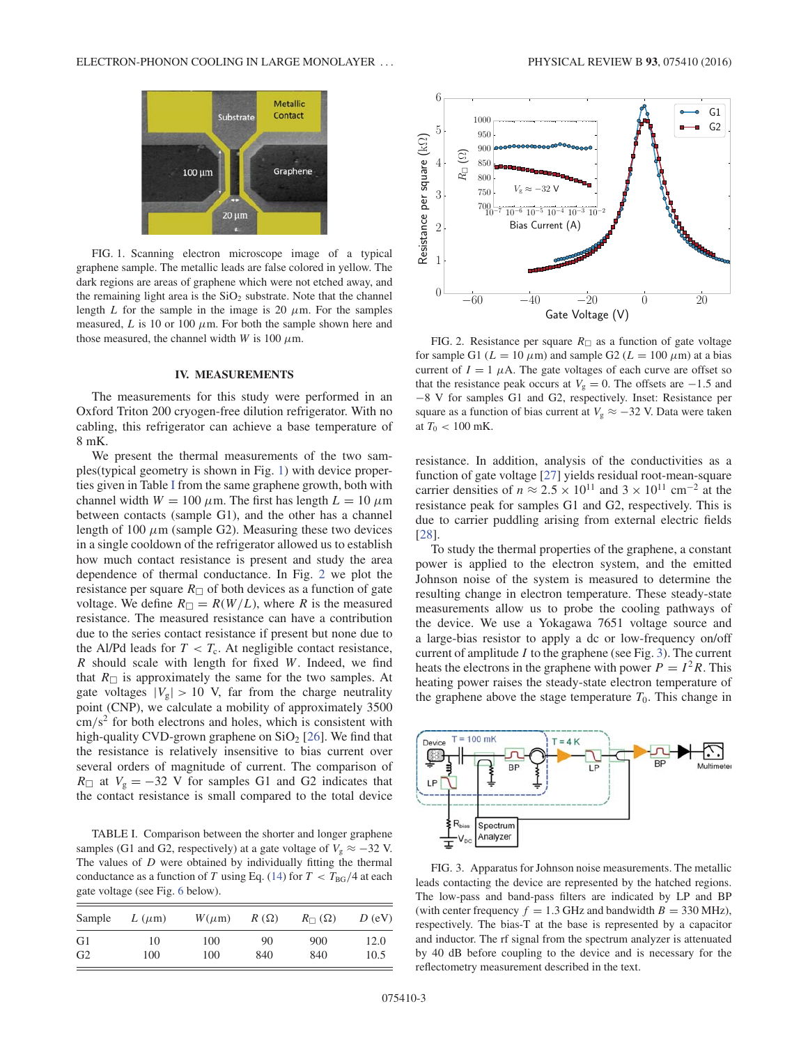

FIG. 1. Scanning electron microscope image of a typical graphene sample. The metallic leads are false colored in yellow. The dark regions are areas of graphene which were not etched away, and the remaining light area is the  $SiO<sub>2</sub>$  substrate. Note that the channel length L for the sample in the image is 20  $\mu$ m. For the samples measured, L is 10 or 100  $\mu$ m. For both the sample shown here and those measured, the channel width W is 100  $\mu$ m.

#### **IV. MEASUREMENTS**

The measurements for this study were performed in an Oxford Triton 200 cryogen-free dilution refrigerator. With no cabling, this refrigerator can achieve a base temperature of 8 mK.

We present the thermal measurements of the two samples(typical geometry is shown in Fig. 1) with device properties given in Table I from the same graphene growth, both with channel width  $W = 100 \mu m$ . The first has length  $L = 10 \mu m$ between contacts (sample G1), and the other has a channel length of 100  $\mu$ m (sample G2). Measuring these two devices in a single cooldown of the refrigerator allowed us to establish how much contact resistance is present and study the area dependence of thermal conductance. In Fig. 2 we plot the resistance per square  $R_{\Box}$  of both devices as a function of gate voltage. We define  $R_{\square} = R(W/L)$ , where R is the measured resistance. The measured resistance can have a contribution due to the series contact resistance if present but none due to the Al/Pd leads for  $T < T_c$ . At negligible contact resistance,  $R$  should scale with length for fixed  $W$ . Indeed, we find that  $R_{\Box}$  is approximately the same for the two samples. At gate voltages  $|V_g| > 10$  V, far from the charge neutrality point (CNP), we calculate a mobility of approximately 3500  $\text{cm/s}^2$  for both electrons and holes, which is consistent with high-quality CVD-grown graphene on  $SiO<sub>2</sub>$  [26]. We find that the resistance is relatively insensitive to bias current over several orders of magnitude of current. The comparison of  $R$ □ at  $V_g = -32$  V for samples G1 and G2 indicates that the contact resistance is small compared to the total device

TABLE I. Comparison between the shorter and longer graphene samples (G1 and G2, respectively) at a gate voltage of  $V_g \approx -32$  V. The values of  $D$  were obtained by individually fitting the thermal conductance as a function of T using Eq. (14) for  $T < T_{BG}/4$  at each gate voltage (see Fig. 6 below).

| Sample         | $L(\mu m)$ | $W(\mu m)$ | $R(\Omega)$ | $R_{\square}(\Omega)$ | $D$ (eV) |
|----------------|------------|------------|-------------|-----------------------|----------|
| G1             | 10         | 100        | 90          | 900                   | 12.0     |
| G <sub>2</sub> | 100        | 100        | 840         | 840                   | 10.5     |



FIG. 2. Resistance per square  $R_{\Box}$  as a function of gate voltage for sample G1 ( $L = 10 \mu$ m) and sample G2 ( $L = 100 \mu$ m) at a bias current of  $I = 1$   $\mu$ A. The gate voltages of each curve are offset so that the resistance peak occurs at  $V<sub>g</sub> = 0$ . The offsets are -1.5 and −8 V for samples G1 and G2, respectively. Inset: Resistance per square as a function of bias current at  $V_g \approx -32$  V. Data were taken at  $T_0 < 100$  mK.

resistance. In addition, analysis of the conductivities as a function of gate voltage [27] yields residual root-mean-square carrier densities of  $n \approx 2.5 \times 10^{11}$  and  $3 \times 10^{11}$  cm<sup>-2</sup> at the resistance peak for samples G1 and G2, respectively. This is due to carrier puddling arising from external electric fields [28].

To study the thermal properties of the graphene, a constant power is applied to the electron system, and the emitted Johnson noise of the system is measured to determine the resulting change in electron temperature. These steady-state measurements allow us to probe the cooling pathways of the device. We use a Yokagawa 7651 voltage source and a large-bias resistor to apply a dc or low-frequency on/off current of amplitude  $I$  to the graphene (see Fig. 3). The current heats the electrons in the graphene with power  $P = I^2 R$ . This heating power raises the steady-state electron temperature of the graphene above the stage temperature  $T_0$ . This change in



FIG. 3. Apparatus for Johnson noise measurements. The metallic leads contacting the device are represented by the hatched regions. The low-pass and band-pass filters are indicated by LP and BP (with center frequency  $f = 1.3$  GHz and bandwidth  $B = 330$  MHz), respectively. The bias-T at the base is represented by a capacitor and inductor. The rf signal from the spectrum analyzer is attenuated by 40 dB before coupling to the device and is necessary for the reflectometry measurement described in the text.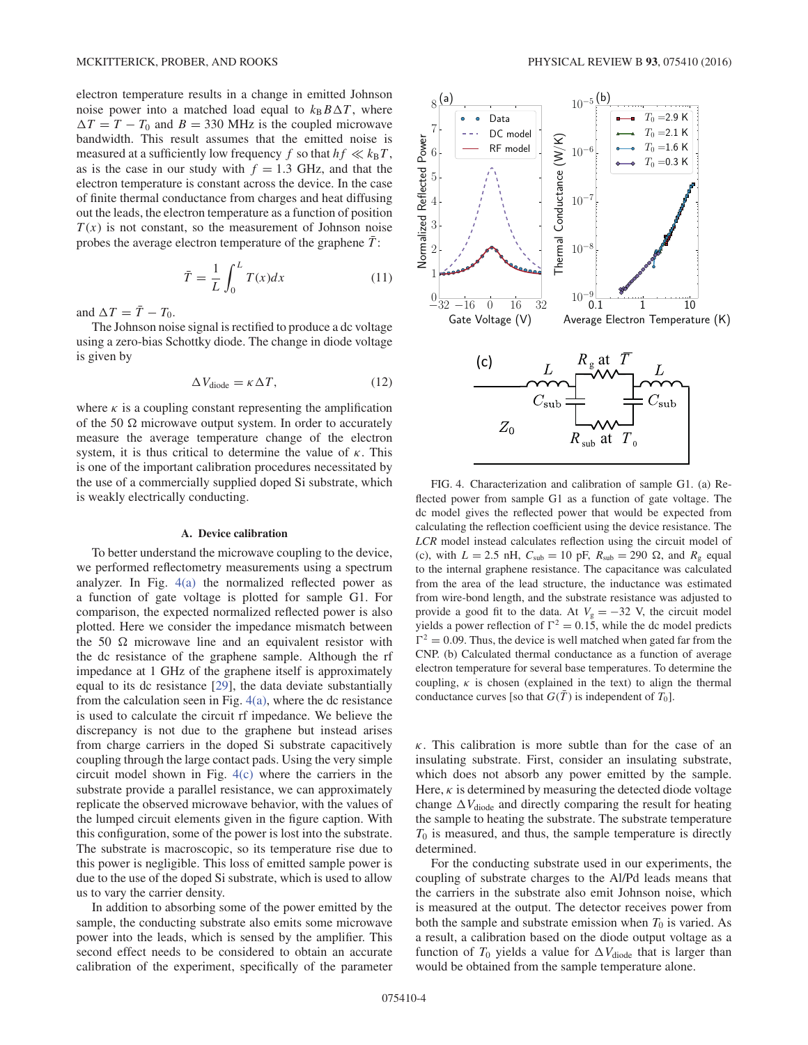electron temperature results in a change in emitted Johnson noise power into a matched load equal to  $k_B B \Delta T$ , where  $\Delta T = T - T_0$  and  $B = 330$  MHz is the coupled microwave bandwidth. This result assumes that the emitted noise is measured at a sufficiently low frequency f so that  $hf \ll k_BT$ , as is the case in our study with  $f = 1.3$  GHz, and that the electron temperature is constant across the device. In the case of finite thermal conductance from charges and heat diffusing out the leads, the electron temperature as a function of position  $T(x)$  is not constant, so the measurement of Johnson noise probes the average electron temperature of the graphene  $\bar{T}$ :

$$
\bar{T} = \frac{1}{L} \int_0^L T(x) dx \tag{11}
$$

and  $\Delta T = \overline{T} - T_0$ .

The Johnson noise signal is rectified to produce a dc voltage using a zero-bias Schottky diode. The change in diode voltage is given by

$$
\Delta V_{\text{diode}} = \kappa \,\Delta T,\tag{12}
$$

where  $\kappa$  is a coupling constant representing the amplification of the 50  $\Omega$  microwave output system. In order to accurately measure the average temperature change of the electron system, it is thus critical to determine the value of  $\kappa$ . This is one of the important calibration procedures necessitated by the use of a commercially supplied doped Si substrate, which is weakly electrically conducting.

#### **A. Device calibration**

To better understand the microwave coupling to the device, we performed reflectometry measurements using a spectrum analyzer. In Fig. 4(a) the normalized reflected power as a function of gate voltage is plotted for sample G1. For comparison, the expected normalized reflected power is also plotted. Here we consider the impedance mismatch between the 50  $\Omega$  microwave line and an equivalent resistor with the dc resistance of the graphene sample. Although the rf impedance at 1 GHz of the graphene itself is approximately equal to its dc resistance [29], the data deviate substantially from the calculation seen in Fig.  $4(a)$ , where the dc resistance is used to calculate the circuit rf impedance. We believe the discrepancy is not due to the graphene but instead arises from charge carriers in the doped Si substrate capacitively coupling through the large contact pads. Using the very simple circuit model shown in Fig. 4(c) where the carriers in the substrate provide a parallel resistance, we can approximately replicate the observed microwave behavior, with the values of the lumped circuit elements given in the figure caption. With this configuration, some of the power is lost into the substrate. The substrate is macroscopic, so its temperature rise due to this power is negligible. This loss of emitted sample power is due to the use of the doped Si substrate, which is used to allow us to vary the carrier density.

In addition to absorbing some of the power emitted by the sample, the conducting substrate also emits some microwave power into the leads, which is sensed by the amplifier. This second effect needs to be considered to obtain an accurate calibration of the experiment, specifically of the parameter



FIG. 4. Characterization and calibration of sample G1. (a) Reflected power from sample G1 as a function of gate voltage. The dc model gives the reflected power that would be expected from calculating the reflection coefficient using the device resistance. The *LCR* model instead calculates reflection using the circuit model of (c), with  $L = 2.5$  nH,  $C_{sub} = 10$  pF,  $R_{sub} = 290 \Omega$ , and  $R_g$  equal to the internal graphene resistance. The capacitance was calculated from the area of the lead structure, the inductance was estimated from wire-bond length, and the substrate resistance was adjusted to provide a good fit to the data. At  $V_g = -32$  V, the circuit model yields a power reflection of  $\Gamma^2 = 0.15$ , while the dc model predicts  $\Gamma^2 = 0.09$ . Thus, the device is well matched when gated far from the CNP. (b) Calculated thermal conductance as a function of average electron temperature for several base temperatures. To determine the coupling,  $\kappa$  is chosen (explained in the text) to align the thermal conductance curves [so that  $G(\overline{T})$  is independent of  $T_0$ ].

 $\kappa$ . This calibration is more subtle than for the case of an insulating substrate. First, consider an insulating substrate, which does not absorb any power emitted by the sample. Here,  $\kappa$  is determined by measuring the detected diode voltage change  $\Delta V_{\rm diode}$  and directly comparing the result for heating the sample to heating the substrate. The substrate temperature  $T_0$  is measured, and thus, the sample temperature is directly determined.

For the conducting substrate used in our experiments, the coupling of substrate charges to the Al/Pd leads means that the carriers in the substrate also emit Johnson noise, which is measured at the output. The detector receives power from both the sample and substrate emission when  $T_0$  is varied. As a result, a calibration based on the diode output voltage as a function of  $T_0$  yields a value for  $\Delta V_{\text{diode}}$  that is larger than would be obtained from the sample temperature alone.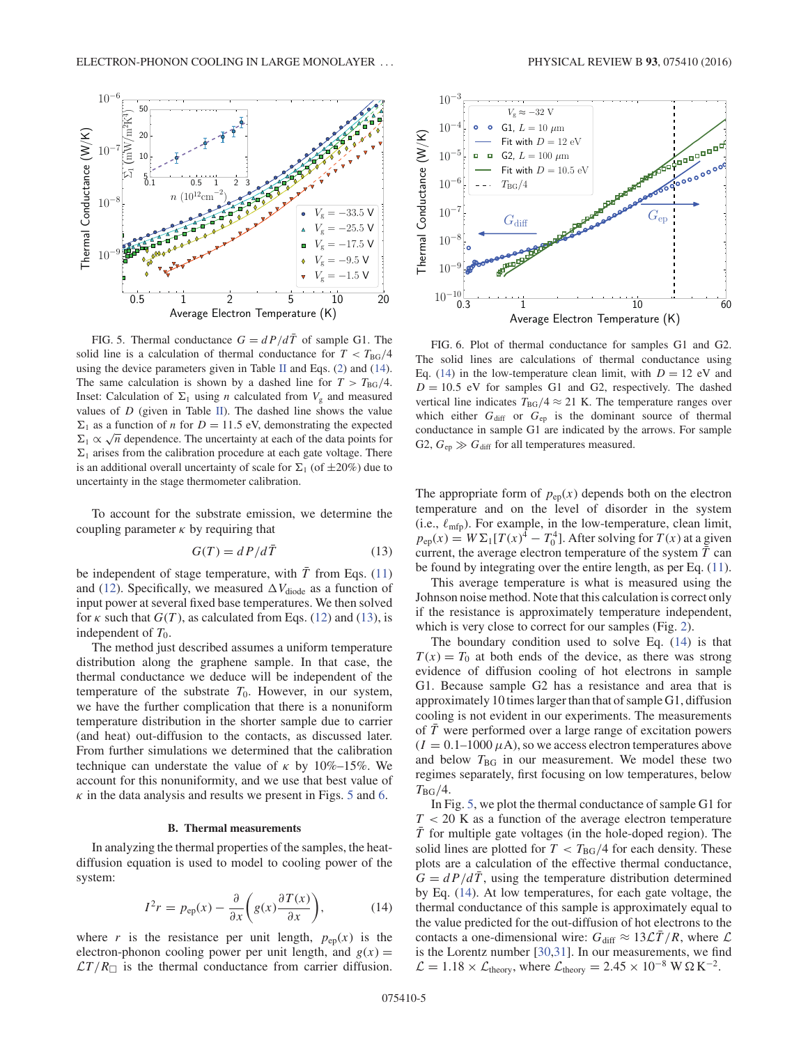

FIG. 5. Thermal conductance  $G = dP/d\overline{T}$  of sample G1. The solid line is a calculation of thermal conductance for  $T < T_{\text{BG}}/4$ using the device parameters given in Table II and Eqs. (2) and (14). The same calculation is shown by a dashed line for  $T > T_{BG}/4$ . Inset: Calculation of  $\Sigma_1$  using *n* calculated from  $V_g$  and measured values of  $D$  (given in Table II). The dashed line shows the value  $\Sigma_1$  as a function of *n* for  $D = 11.5$  eV, demonstrating the expected  $\sum_{i=1}^{n} \alpha \sqrt{n}$  dependence. The uncertainty at each of the data points for  $\Sigma_1$  arises from the calibration procedure at each gate voltage. There is an additional overall uncertainty of scale for  $\Sigma_1$  (of  $\pm 20\%$ ) due to uncertainty in the stage thermometer calibration.

To account for the substrate emission, we determine the coupling parameter  $\kappa$  by requiring that

$$
G(T) = dP/d\bar{T}
$$
 (13)

be independent of stage temperature, with  $\bar{T}$  from Eqs. (11) and (12). Specifically, we measured  $\Delta V_{\rm diode}$  as a function of input power at several fixed base temperatures. We then solved for  $\kappa$  such that  $G(T)$ , as calculated from Eqs. (12) and (13), is independent of  $T_0$ .

The method just described assumes a uniform temperature distribution along the graphene sample. In that case, the thermal conductance we deduce will be independent of the temperature of the substrate  $T_0$ . However, in our system, we have the further complication that there is a nonuniform temperature distribution in the shorter sample due to carrier (and heat) out-diffusion to the contacts, as discussed later. From further simulations we determined that the calibration technique can understate the value of  $\kappa$  by 10%–15%. We account for this nonuniformity, and we use that best value of  $\kappa$  in the data analysis and results we present in Figs. 5 and 6.

### **B. Thermal measurements**

In analyzing the thermal properties of the samples, the heatdiffusion equation is used to model to cooling power of the system:

$$
I^{2}r = p_{ep}(x) - \frac{\partial}{\partial x}\bigg(g(x)\frac{\partial T(x)}{\partial x}\bigg),\tag{14}
$$

where r is the resistance per unit length,  $p_{en}(x)$  is the electron-phonon cooling power per unit length, and  $g(x) =$  $\mathcal{L}T/R_{\Box}$  is the thermal conductance from carrier diffusion.



FIG. 6. Plot of thermal conductance for samples G1 and G2. The solid lines are calculations of thermal conductance using Eq. (14) in the low-temperature clean limit, with  $D = 12$  eV and  $D = 10.5$  eV for samples G1 and G2, respectively. The dashed vertical line indicates  $T_{BG}/4 \approx 21$  K. The temperature ranges over which either  $G_{\text{diff}}$  or  $G_{\text{ep}}$  is the dominant source of thermal conductance in sample G1 are indicated by the arrows. For sample G2,  $G_{ep} \gg G_{diff}$  for all temperatures measured.

The appropriate form of  $p_{ep}(x)$  depends both on the electron temperature and on the level of disorder in the system (i.e.,  $\ell_{\rm mfp}$ ). For example, in the low-temperature, clean limit,  $p_{ep}(x) = W\Sigma_1[T(x)^4 - T_0^4]$ . After solving for  $T(x)$  at a given current, the average electron temperature of the system  $T$  can be found by integrating over the entire length, as per Eq. (11).

This average temperature is what is measured using the Johnson noise method. Note that this calculation is correct only if the resistance is approximately temperature independent, which is very close to correct for our samples (Fig. 2).

The boundary condition used to solve Eq. (14) is that  $T(x) = T_0$  at both ends of the device, as there was strong evidence of diffusion cooling of hot electrons in sample G1. Because sample G2 has a resistance and area that is approximately 10 times larger than that of sample G1, diffusion cooling is not evident in our experiments. The measurements of  $\overline{T}$  were performed over a large range of excitation powers  $(I = 0.1-1000 \,\mu\text{A})$ , so we access electron temperatures above and below  $T_{BG}$  in our measurement. We model these two regimes separately, first focusing on low temperatures, below  $T_{\rm BG}/4$ .

In Fig. 5, we plot the thermal conductance of sample G1 for  $T < 20$  K as a function of the average electron temperature  $T$  for multiple gate voltages (in the hole-doped region). The solid lines are plotted for  $T < T_{BG}/4$  for each density. These plots are a calculation of the effective thermal conductance,  $G = dP/d\overline{T}$ , using the temperature distribution determined by Eq. (14). At low temperatures, for each gate voltage, the thermal conductance of this sample is approximately equal to the value predicted for the out-diffusion of hot electrons to the contacts a one-dimensional wire:  $G_{\text{diff}} \approx 13\mathcal{L}\bar{T}/R$ , where  $\mathcal{L}$ is the Lorentz number [30,31]. In our measurements, we find  $\mathcal{L} = 1.18 \times \mathcal{L}_{\text{theory}}$ , where  $\mathcal{L}_{\text{theory}} = 2.45 \times 10^{-8} \text{ W} \Omega \text{ K}^{-2}$ .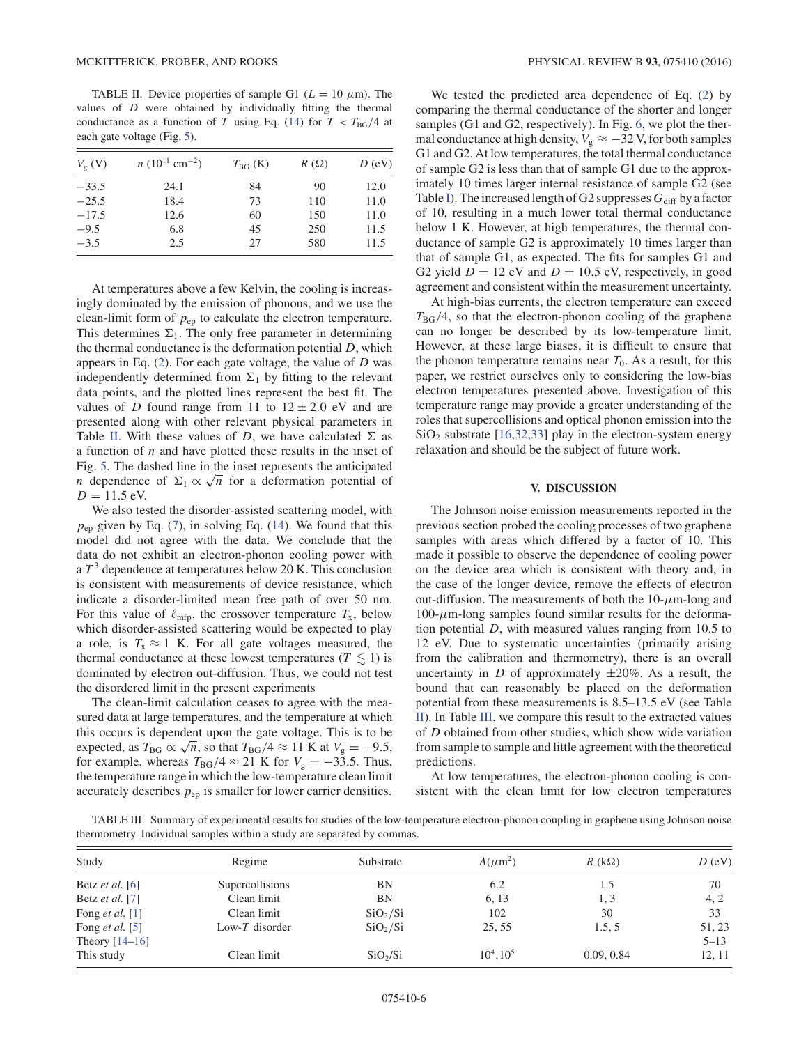TABLE II. Device properties of sample G1 ( $L = 10 \mu$ m). The values of D were obtained by individually fitting the thermal conductance as a function of T using Eq. (14) for  $T < T_{\text{BG}}/4$  at each gate voltage (Fig. 5).

| $V_{\rm g}$ (V) | $n(10^{11}$ cm <sup>-2</sup> ) | $T_{\rm BG}$ (K) | $R(\Omega)$ | $D$ (eV) |
|-----------------|--------------------------------|------------------|-------------|----------|
| $-33.5$         | 24.1                           | 84               | 90          | 12.0     |
| $-25.5$         | 18.4                           | 73               | 110         | 11.0     |
| $-17.5$         | 12.6                           | 60               | 150         | 11.0     |
| $-9.5$          | 6.8                            | 45               | 250         | 11.5     |
| $-3.5$          | 2.5                            | 27               | 580         | 11.5     |

At temperatures above a few Kelvin, the cooling is increasingly dominated by the emission of phonons, and we use the clean-limit form of  $p_{ep}$  to calculate the electron temperature. This determines  $\Sigma_1$ . The only free parameter in determining the thermal conductance is the deformation potential  $D$ , which appears in Eq.  $(2)$ . For each gate voltage, the value of D was independently determined from  $\Sigma_1$  by fitting to the relevant data points, and the plotted lines represent the best fit. The values of D found range from 11 to  $12 \pm 2.0$  eV and are presented along with other relevant physical parameters in Table II. With these values of D, we have calculated  $\Sigma$  as a function of  $n$  and have plotted these results in the inset of Fig. 5. The dashed line in the inset represents the anticipated *n* dependence of  $\Sigma_1 \propto \sqrt{n}$  for a deformation potential of  $D = 11.5$  eV.

We also tested the disorder-assisted scattering model, with  $p_{ep}$  given by Eq. (7), in solving Eq. (14). We found that this model did not agree with the data. We conclude that the data do not exhibit an electron-phonon cooling power with a  $T<sup>3</sup>$  dependence at temperatures below 20 K. This conclusion is consistent with measurements of device resistance, which indicate a disorder-limited mean free path of over 50 nm. For this value of  $\ell_{\rm mfp}$ , the crossover temperature  $T_x$ , below which disorder-assisted scattering would be expected to play a role, is  $T_x \approx 1$  K. For all gate voltages measured, the thermal conductance at these lowest temperatures ( $T \lesssim 1$ ) is dominated by electron out-diffusion. Thus, we could not test the disordered limit in the present experiments

The clean-limit calculation ceases to agree with the measured data at large temperatures, and the temperature at which this occurs is dependent upon the gate voltage. This is to be expected, as  $T_{BG} \propto \sqrt{n}$ , so that  $T_{BG}/4 \approx 11$  K at  $V_g = -9.5$ , for example, whereas  $T_{BG}/4 \approx 21$  K for  $V_g = -33.5$ . Thus, the temperature range in which the low-temperature clean limit accurately describes  $p_{ep}$  is smaller for lower carrier densities.

We tested the predicted area dependence of Eq. (2) by comparing the thermal conductance of the shorter and longer samples (G1 and G2, respectively). In Fig. 6, we plot the thermal conductance at high density,  $V_g \approx -32$  V, for both samples G1 and G2. At low temperatures, the total thermal conductance of sample G2 is less than that of sample G1 due to the approximately 10 times larger internal resistance of sample G2 (see Table I). The increased length of G2 suppresses  $G_{diff}$  by a factor of 10, resulting in a much lower total thermal conductance below 1 K. However, at high temperatures, the thermal conductance of sample G2 is approximately 10 times larger than that of sample G1, as expected. The fits for samples G1 and G2 yield  $D = 12$  eV and  $D = 10.5$  eV, respectively, in good agreement and consistent within the measurement uncertainty.

At high-bias currents, the electron temperature can exceed  $T_{\text{BG}}/4$ , so that the electron-phonon cooling of the graphene can no longer be described by its low-temperature limit. However, at these large biases, it is difficult to ensure that the phonon temperature remains near  $T_0$ . As a result, for this paper, we restrict ourselves only to considering the low-bias electron temperatures presented above. Investigation of this temperature range may provide a greater understanding of the roles that supercollisions and optical phonon emission into the  $SiO<sub>2</sub>$  substrate [16,32,33] play in the electron-system energy relaxation and should be the subject of future work.

# **V. DISCUSSION**

The Johnson noise emission measurements reported in the previous section probed the cooling processes of two graphene samples with areas which differed by a factor of 10. This made it possible to observe the dependence of cooling power on the device area which is consistent with theory and, in the case of the longer device, remove the effects of electron out-diffusion. The measurements of both the  $10-\mu$ m-long and  $100-\mu$ m-long samples found similar results for the deformation potential D, with measured values ranging from 10.5 to 12 eV. Due to systematic uncertainties (primarily arising from the calibration and thermometry), there is an overall uncertainty in D of approximately  $\pm 20\%$ . As a result, the bound that can reasonably be placed on the deformation potential from these measurements is 8.5–13.5 eV (see Table II). In Table III, we compare this result to the extracted values of D obtained from other studies, which show wide variation from sample to sample and little agreement with the theoretical predictions.

At low temperatures, the electron-phonon cooling is consistent with the clean limit for low electron temperatures

TABLE III. Summary of experimental results for studies of the low-temperature electron-phonon coupling in graphene using Johnson noise thermometry. Individual samples within a study are separated by commas.

| Study                                      | Regime          | Substrate            | $A(\mu m^2)$ | $R$ (k $\Omega$ ) | $D$ (eV)           |
|--------------------------------------------|-----------------|----------------------|--------------|-------------------|--------------------|
| Betz <i>et al.</i> [6]                     | Supercollisions | BN                   | 6.2          | 1.5               | 70                 |
| Betz <i>et al.</i> [7]                     | Clean limit     | BN                   | 6.13         | 1, 3              | 4, 2               |
| Fong <i>et al.</i> [1]                     | Clean limit     | $SiO_2/Si$           | 102          | 30                | 33                 |
| Fong <i>et al.</i> [5]<br>Theory $[14-16]$ | Low-T disorder  | $SiO_2/Si$           | 25.55        | 1.5.5             | 51, 23<br>$5 - 13$ |
| This study                                 | Clean limit     | SiO <sub>2</sub> /Si | $10^4.10^5$  | 0.09, 0.84        | 12, 11             |